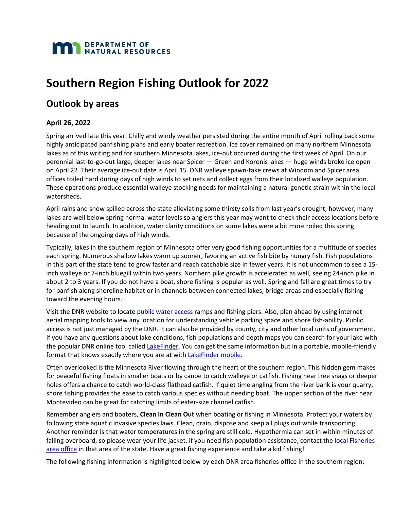

# **Southern Region Fishing Outlook for 2022**

# **Outlook by areas**

# **April 26, 2022**

Spring arrived late this year. Chilly and windy weather persisted during the entire month of April rolling back some highly anticipated panfishing plans and early boater recreation. Ice cover remained on many northern Minnesota lakes as of this writing and for southern Minnesota lakes, ice-out occurred during the first week of April. On our perennial last-to-go-out large, deeper lakes near Spicer — Green and Koronis lakes — huge winds broke ice open on April 22. Their average ice-out date is April 15. DNR walleye spawn-take crews at Windom and Spicer area offices toiled hard during days of high winds to set nets and collect eggs from their localized walleye population. These operations produce essential walleye stocking needs for maintaining a natural genetic strain within the local watersheds.

April rains and snow spilled across the state alleviating some thirsty soils from last year's drought; however, many lakes are well below spring normal water levels so anglers this year may want to check their access locations before heading out to launch. In addition, water clarity conditions on some lakes were a bit more roiled this spring because of the ongoing days of high winds.

Typically, lakes in the southern region of Minnesota offer very good fishing opportunities for a multitude of species each spring. Numerous shallow lakes warm up sooner, favoring an active fish bite by hungry fish. Fish populations in this part of the state tend to grow faster and reach catchable size in fewer years. It is not uncommon to see a 15 inch walleye or 7-inch bluegill within two years. Northern pike growth is accelerated as well, seeing 24-inch pike in about 2 to 3 years. If you do not have a boat, shore fishing is popular as well. Spring and fall are great times to try for panfish along shoreline habitat or in channels between connected lakes, bridge areas and especially fishing toward the evening hours.

Visit the DNR website to locate [public water access](https://www.dnr.state.mn.us/water_access/index.html) ramps and fishing piers. Also, plan ahead by using internet aerial mapping tools to view any location for understanding vehicle parking space and shore fish-ability. Public access is not just managed by the DNR. It can also be provided by county, city and other local units of government. If you have any questions about lake conditions, fish populations and depth maps you can search for your lake with the popular DNR online tool called [LakeFinder.](https://www.dnr.state.mn.us/lakefind/index.html) You can get the same information but in a portable, mobile-friendly format that knows exactly where you are at with [LakeFinder mobile.](https://maps1.dnr.state.mn.us/lakefinder/mobile/)

Often overlooked is the Minnesota River flowing through the heart of the southern region. This hidden gem makes for peaceful fishing floats in smaller boats or by canoe to catch walleye or catfish. Fishing near tree snags or deeper holes offers a chance to catch world-class flathead catfish. If quiet time angling from the river bank is your quarry, shore fishing provides the ease to catch various species without needing boat. The upper section of the river near Montevideo can be great for catching limits of eater-size channel catfish.

Remember anglers and boaters, **Clean In Clean Out** when boating or fishing in Minnesota. Protect your waters by following state aquatic invasive species laws. Clean, drain, dispose and keep all plugs out while transporting. Another reminder is that water temperatures in the spring are still cold. Hypothermia can set in within minutes of falling overboard, so please wear your life jacket. If you need fish population assistance, contact the local Fisheries [area office](https://www.dnr.state.mn.us/areas/fisheries/index.html) in that area of the state. Have a great fishing experience and take a kid fishing!

The following fishing information is highlighted below by each DNR area fisheries office in the southern region: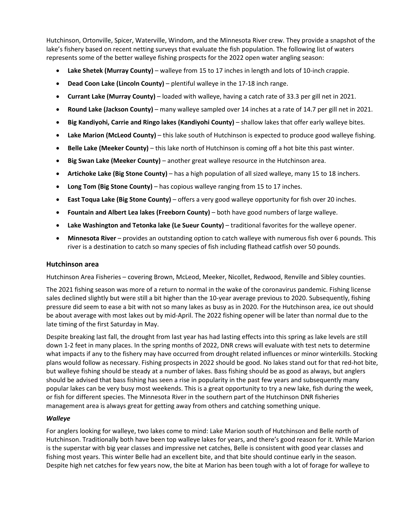Hutchinson, Ortonville, Spicer, Waterville, Windom, and the Minnesota River crew. They provide a snapshot of the lake's fishery based on recent netting surveys that evaluate the fish population. The following list of waters represents some of the better walleye fishing prospects for the 2022 open water angling season:

- **Lake Shetek (Murray County)** walleye from 15 to 17 inches in length and lots of 10-inch crappie.
- **Dead Coon Lake (Lincoln County)** plentiful walleye in the 17-18 inch range.
- **Currant Lake (Murray County)**  loaded with walleye, having a catch rate of 33.3 per gill net in 2021.
- **Round Lake (Jackson County)**  many walleye sampled over 14 inches at a rate of 14.7 per gill net in 2021.
- **Big Kandiyohi, Carrie and Ringo lakes (Kandiyohi County)** shallow lakes that offer early walleye bites.
- Lake Marion (McLeod County) this lake south of Hutchinson is expected to produce good walleye fishing.
- **Belle Lake (Meeker County)**  this lake north of Hutchinson is coming off a hot bite this past winter.
- **Big Swan Lake (Meeker County)**  another great walleye resource in the Hutchinson area.
- **Artichoke Lake (Big Stone County)** has a high population of all sized walleye, many 15 to 18 inchers.
- **Long Tom (Big Stone County)** has copious walleye ranging from 15 to 17 inches.
- **East Toqua Lake (Big Stone County)** offers a very good walleye opportunity for fish over 20 inches.
- **Fountain and Albert Lea lakes (Freeborn County)** both have good numbers of large walleye.
- **Lake Washington and Tetonka lake (Le Sueur County)** traditional favorites for the walleye opener.
- **Minnesota River** provides an outstanding option to catch walleye with numerous fish over 6 pounds. This river is a destination to catch so many species of fish including flathead catfish over 50 pounds.

# **Hutchinson area**

Hutchinson Area Fisheries – covering Brown, McLeod, Meeker, Nicollet, Redwood, Renville and Sibley counties.

The 2021 fishing season was more of a return to normal in the wake of the coronavirus pandemic. Fishing license sales declined slightly but were still a bit higher than the 10-year average previous to 2020. Subsequently, fishing pressure did seem to ease a bit with not so many lakes as busy as in 2020. For the Hutchinson area, ice out should be about average with most lakes out by mid-April. The 2022 fishing opener will be later than normal due to the late timing of the first Saturday in May.

Despite breaking last fall, the drought from last year has had lasting effects into this spring as lake levels are still down 1-2 feet in many places. In the spring months of 2022, DNR crews will evaluate with test nets to determine what impacts if any to the fishery may have occurred from drought related influences or minor winterkills. Stocking plans would follow as necessary. Fishing prospects in 2022 should be good. No lakes stand out for that red-hot bite, but walleye fishing should be steady at a number of lakes. Bass fishing should be as good as always, but anglers should be advised that bass fishing has seen a rise in popularity in the past few years and subsequently many popular lakes can be very busy most weekends. This is a great opportunity to try a new lake, fish during the week, or fish for different species. The Minnesota River in the southern part of the Hutchinson DNR fisheries management area is always great for getting away from others and catching something unique.

# *Walleye*

For anglers looking for walleye, two lakes come to mind: Lake Marion south of Hutchinson and Belle north of Hutchinson. Traditionally both have been top walleye lakes for years, and there's good reason for it. While Marion is the superstar with big year classes and impressive net catches, Belle is consistent with good year classes and fishing most years. This winter Belle had an excellent bite, and that bite should continue early in the season. Despite high net catches for few years now, the bite at Marion has been tough with a lot of forage for walleye to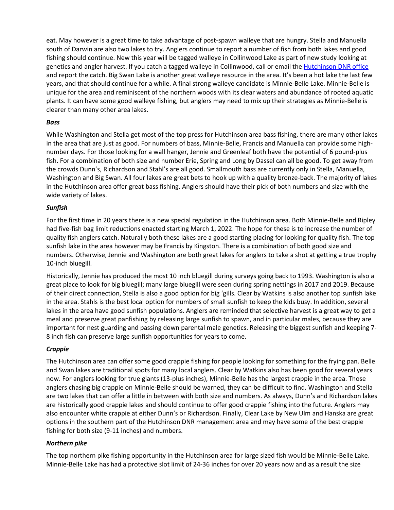eat. May however is a great time to take advantage of post-spawn walleye that are hungry. Stella and Manuella south of Darwin are also two lakes to try. Anglers continue to report a number of fish from both lakes and good fishing should continue. New this year will be tagged walleye in Collinwood Lake as part of new study looking at genetics and angler harvest. If you catch a tagged walleye in Collinwood, call or email the [Hutchinson DNR office](https://www.dnr.state.mn.us/areas/fisheries/hutchinson/index.html) and report the catch. Big Swan Lake is another great walleye resource in the area. It's been a hot lake the last few years, and that should continue for a while. A final strong walleye candidate is Minnie-Belle Lake. Minnie-Belle is unique for the area and reminiscent of the northern woods with its clear waters and abundance of rooted aquatic plants. It can have some good walleye fishing, but anglers may need to mix up their strategies as Minnie-Belle is clearer than many other area lakes.

# *Bass*

While Washington and Stella get most of the top press for Hutchinson area bass fishing, there are many other lakes in the area that are just as good. For numbers of bass, Minnie-Belle, Francis and Manuella can provide some highnumber days. For those looking for a wall hanger, Jennie and Greenleaf both have the potential of 6 pound-plus fish. For a combination of both size and number Erie, Spring and Long by Dassel can all be good. To get away from the crowds Dunn's, Richardson and Stahl's are all good. Smallmouth bass are currently only in Stella, Manuella, Washington and Big Swan. All four lakes are great bets to hook up with a quality bronze-back. The majority of lakes in the Hutchinson area offer great bass fishing. Anglers should have their pick of both numbers and size with the wide variety of lakes.

# *Sunfish*

For the first time in 20 years there is a new special regulation in the Hutchinson area. Both Minnie-Belle and Ripley had five-fish bag limit reductions enacted starting March 1, 2022. The hope for these is to increase the number of quality fish anglers catch. Naturally both these lakes are a good starting placing for looking for quality fish. The top sunfish lake in the area however may be Francis by Kingston. There is a combination of both good size and numbers. Otherwise, Jennie and Washington are both great lakes for anglers to take a shot at getting a true trophy 10-inch bluegill.

Historically, Jennie has produced the most 10 inch bluegill during surveys going back to 1993. Washington is also a great place to look for big bluegill; many large bluegill were seen during spring nettings in 2017 and 2019. Because of their direct connection, Stella is also a good option for big 'gills. Clear by Watkins is also another top sunfish lake in the area. Stahls is the best local option for numbers of small sunfish to keep the kids busy. In addition, several lakes in the area have good sunfish populations. Anglers are reminded that selective harvest is a great way to get a meal and preserve great panfishing by releasing large sunfish to spawn, and in particular males, because they are important for nest guarding and passing down parental male genetics. Releasing the biggest sunfish and keeping 7- 8 inch fish can preserve large sunfish opportunities for years to come.

# *Crappie*

The Hutchinson area can offer some good crappie fishing for people looking for something for the frying pan. Belle and Swan lakes are traditional spots for many local anglers. Clear by Watkins also has been good for several years now. For anglers looking for true giants (13-plus inches), Minnie-Belle has the largest crappie in the area. Those anglers chasing big crappie on Minnie-Belle should be warned, they can be difficult to find. Washington and Stella are two lakes that can offer a little in between with both size and numbers. As always, Dunn's and Richardson lakes are historically good crappie lakes and should continue to offer good crappie fishing into the future. Anglers may also encounter white crappie at either Dunn's or Richardson. Finally, Clear Lake by New Ulm and Hanska are great options in the southern part of the Hutchinson DNR management area and may have some of the best crappie fishing for both size (9-11 inches) and numbers.

# *Northern pike*

The top northern pike fishing opportunity in the Hutchinson area for large sized fish would be Minnie-Belle Lake. Minnie-Belle Lake has had a protective slot limit of 24-36 inches for over 20 years now and as a result the size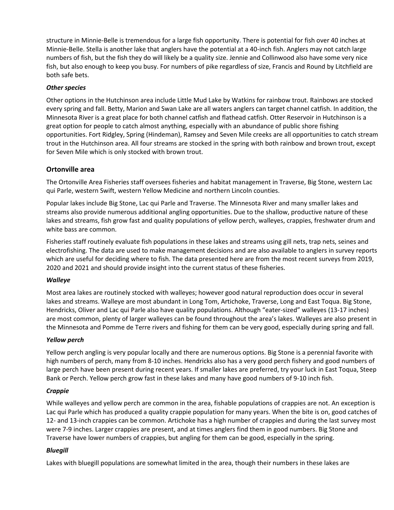structure in Minnie-Belle is tremendous for a large fish opportunity. There is potential for fish over 40 inches at Minnie-Belle. Stella is another lake that anglers have the potential at a 40-inch fish. Anglers may not catch large numbers of fish, but the fish they do will likely be a quality size. Jennie and Collinwood also have some very nice fish, but also enough to keep you busy. For numbers of pike regardless of size, Francis and Round by Litchfield are both safe bets.

# *Other species*

Other options in the Hutchinson area include Little Mud Lake by Watkins for rainbow trout. Rainbows are stocked every spring and fall. Betty, Marion and Swan Lake are all waters anglers can target channel catfish. In addition, the Minnesota River is a great place for both channel catfish and flathead catfish. Otter Reservoir in Hutchinson is a great option for people to catch almost anything, especially with an abundance of public shore fishing opportunities. Fort Ridgley, Spring (Hindeman), Ramsey and Seven Mile creeks are all opportunities to catch stream trout in the Hutchinson area. All four streams are stocked in the spring with both rainbow and brown trout, except for Seven Mile which is only stocked with brown trout.

# **Ortonville area**

The Ortonville Area Fisheries staff oversees fisheries and habitat management in Traverse, Big Stone, western Lac qui Parle, western Swift, western Yellow Medicine and northern Lincoln counties.

Popular lakes include Big Stone, Lac qui Parle and Traverse. The Minnesota River and many smaller lakes and streams also provide numerous additional angling opportunities. Due to the shallow, productive nature of these lakes and streams, fish grow fast and quality populations of yellow perch, walleyes, crappies, freshwater drum and white bass are common.

Fisheries staff routinely evaluate fish populations in these lakes and streams using gill nets, trap nets, seines and electrofishing. The data are used to make management decisions and are also available to anglers in survey reports which are useful for deciding where to fish. The data presented here are from the most recent surveys from 2019, 2020 and 2021 and should provide insight into the current status of these fisheries.

# *Walleye*

Most area lakes are routinely stocked with walleyes; however good natural reproduction does occur in several lakes and streams. Walleye are most abundant in Long Tom, Artichoke, Traverse, Long and East Toqua. Big Stone, Hendricks, Oliver and Lac qui Parle also have quality populations. Although "eater-sized" walleyes (13-17 inches) are most common, plenty of larger walleyes can be found throughout the area's lakes. Walleyes are also present in the Minnesota and Pomme de Terre rivers and fishing for them can be very good, especially during spring and fall.

# *Yellow perch*

Yellow perch angling is very popular locally and there are numerous options. Big Stone is a perennial favorite with high numbers of perch, many from 8-10 inches. Hendricks also has a very good perch fishery and good numbers of large perch have been present during recent years. If smaller lakes are preferred, try your luck in East Toqua, Steep Bank or Perch. Yellow perch grow fast in these lakes and many have good numbers of 9-10 inch fish.

# *Crappie*

While walleyes and yellow perch are common in the area, fishable populations of crappies are not. An exception is Lac qui Parle which has produced a quality crappie population for many years. When the bite is on, good catches of 12- and 13-inch crappies can be common. Artichoke has a high number of crappies and during the last survey most were 7-9 inches. Larger crappies are present, and at times anglers find them in good numbers. Big Stone and Traverse have lower numbers of crappies, but angling for them can be good, especially in the spring.

# *Bluegill*

Lakes with bluegill populations are somewhat limited in the area, though their numbers in these lakes are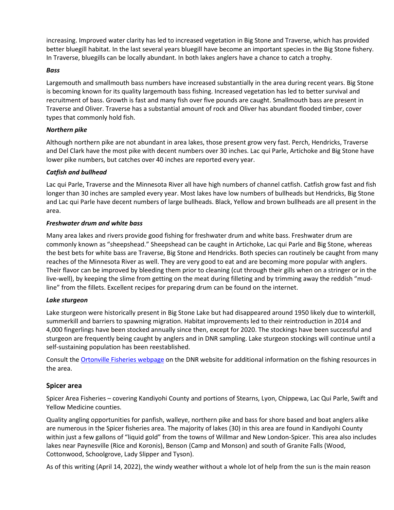increasing. Improved water clarity has led to increased vegetation in Big Stone and Traverse, which has provided better bluegill habitat. In the last several years bluegill have become an important species in the Big Stone fishery. In Traverse, bluegills can be locally abundant. In both lakes anglers have a chance to catch a trophy.

#### *Bass*

Largemouth and smallmouth bass numbers have increased substantially in the area during recent years. Big Stone is becoming known for its quality largemouth bass fishing. Increased vegetation has led to better survival and recruitment of bass. Growth is fast and many fish over five pounds are caught. Smallmouth bass are present in Traverse and Oliver. Traverse has a substantial amount of rock and Oliver has abundant flooded timber, cover types that commonly hold fish.

# *Northern pike*

Although northern pike are not abundant in area lakes, those present grow very fast. Perch, Hendricks, Traverse and Del Clark have the most pike with decent numbers over 30 inches. Lac qui Parle, Artichoke and Big Stone have lower pike numbers, but catches over 40 inches are reported every year.

# *Catfish and bullhead*

Lac qui Parle, Traverse and the Minnesota River all have high numbers of channel catfish. Catfish grow fast and fish longer than 30 inches are sampled every year. Most lakes have low numbers of bullheads but Hendricks, Big Stone and Lac qui Parle have decent numbers of large bullheads. Black, Yellow and brown bullheads are all present in the area.

# *Freshwater drum and white bass*

Many area lakes and rivers provide good fishing for freshwater drum and white bass. Freshwater drum are commonly known as "sheepshead." Sheepshead can be caught in Artichoke, Lac qui Parle and Big Stone, whereas the best bets for white bass are Traverse, Big Stone and Hendricks. Both species can routinely be caught from many reaches of the Minnesota River as well. They are very good to eat and are becoming more popular with anglers. Their flavor can be improved by bleeding them prior to cleaning (cut through their gills when on a stringer or in the live-well), by keeping the slime from getting on the meat during filleting and by trimming away the reddish "mudline" from the fillets. Excellent recipes for preparing drum can be found on the internet.

# *Lake sturgeon*

Lake sturgeon were historically present in Big Stone Lake but had disappeared around 1950 likely due to winterkill, summerkill and barriers to spawning migration. Habitat improvements led to their reintroduction in 2014 and 4,000 fingerlings have been stocked annually since then, except for 2020. The stockings have been successful and sturgeon are frequently being caught by anglers and in DNR sampling. Lake sturgeon stockings will continue until a self-sustaining population has been reestablished.

Consult th[e Ortonville Fisheries webpage](https://www.dnr.state.mn.us/areas/fisheries/ortonville/index.html) on the DNR website for additional information on the fishing resources in the area.

# **Spicer area**

Spicer Area Fisheries – covering Kandiyohi County and portions of Stearns, Lyon, Chippewa, Lac Qui Parle, Swift and Yellow Medicine counties.

Quality angling opportunities for panfish, walleye, northern pike and bass for shore based and boat anglers alike are numerous in the Spicer fisheries area. The majority of lakes (30) in this area are found in Kandiyohi County within just a few gallons of "liquid gold" from the towns of Willmar and New London-Spicer. This area also includes lakes near Paynesville (Rice and Koronis), Benson (Camp and Monson) and south of Granite Falls (Wood, Cottonwood, Schoolgrove, Lady Slipper and Tyson).

As of this writing (April 14, 2022), the windy weather without a whole lot of help from the sun is the main reason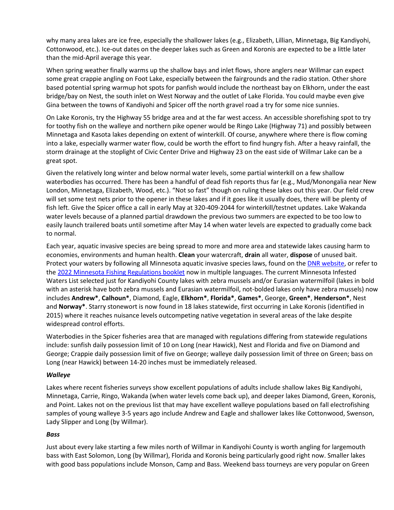why many area lakes are ice free, especially the shallower lakes (e.g., Elizabeth, Lillian, Minnetaga, Big Kandiyohi, Cottonwood, etc.). Ice-out dates on the deeper lakes such as Green and Koronis are expected to be a little later than the mid-April average this year.

When spring weather finally warms up the shallow bays and inlet flows, shore anglers near Willmar can expect some great crappie angling on Foot Lake, especially between the fairgrounds and the radio station. Other shore based potential spring warmup hot spots for panfish would include the northeast bay on Elkhorn, under the east bridge/bay on Nest, the south inlet on West Norway and the outlet of Lake Florida. You could maybe even give Gina between the towns of Kandiyohi and Spicer off the north gravel road a try for some nice sunnies.

On Lake Koronis, try the Highway 55 bridge area and at the far west access. An accessible shorefishing spot to try for toothy fish on the walleye and northern pike opener would be Ringo Lake (Highway 71) and possibly between Minnetaga and Kasota lakes depending on extent of winterkill. Of course, anywhere where there is flow coming into a lake, especially warmer water flow, could be worth the effort to find hungry fish. After a heavy rainfall, the storm drainage at the stoplight of Civic Center Drive and Highway 23 on the east side of Willmar Lake can be a great spot.

Given the relatively long winter and below normal water levels, some partial winterkill on a few shallow waterbodies has occurred. There has been a handful of dead fish reports thus far (e.g., Mud/Monongalia near New London, Minnetaga, Elizabeth, Wood, etc.). "Not so fast" though on ruling these lakes out this year. Our field crew will set some test nets prior to the opener in these lakes and if it goes like it usually does, there will be plenty of fish left. Give the Spicer office a call in early May at 320-409-2044 for winterkill/testnet updates. Lake Wakanda water levels because of a planned partial drawdown the previous two summers are expected to be too low to easily launch trailered boats until sometime after May 14 when water levels are expected to gradually come back to normal.

Each year, aquatic invasive species are being spread to more and more area and statewide lakes causing harm to economies, environments and human health. **Clean** your watercraft, **drain** all water, **dispose** of unused bait. Protect your waters by following all Minnesota aquatic invasive species laws, found on the [DNR website,](https://www.dnr.state.mn.us/invasives/ais/index.html) or refer to the [2022 Minnesota Fishing Regulations booklet](https://www.dnr.state.mn.us/regulations/fishing/index.html) now in multiple languages. The current Minnesota Infested Waters List selected just for Kandiyohi County lakes with zebra mussels and/or Eurasian watermilfoil (lakes in bold with an asterisk have both zebra mussels and Eurasian watermilfoil, not-bolded lakes only have zebra mussels) now includes **Andrew\***, **Calhoun\***, Diamond, Eagle, **Elkhorn\***, **Florida\***, **Games\***, George, **Green\***, **Henderson\***, Nest and **Norway\***. Starry stonewort is now found in 18 lakes statewide, first occurring in Lake Koronis (identified in 2015) where it reaches nuisance levels outcompeting native vegetation in several areas of the lake despite widespread control efforts.

Waterbodies in the Spicer fisheries area that are managed with regulations differing from statewide regulations include: sunfish daily possession limit of 10 on Long (near Hawick), Nest and Florida and five on Diamond and George; Crappie daily possession limit of five on George; walleye daily possession limit of three on Green; bass on Long (near Hawick) between 14-20 inches must be immediately released.

# *Walleye*

Lakes where recent fisheries surveys show excellent populations of adults include shallow lakes Big Kandiyohi, Minnetaga, Carrie, Ringo, Wakanda (when water levels come back up), and deeper lakes Diamond, Green, Koronis, and Point. Lakes not on the previous list that may have excellent walleye populations based on fall electrofishing samples of young walleye 3-5 years ago include Andrew and Eagle and shallower lakes like Cottonwood, Swenson, Lady Slipper and Long (by Willmar).

# *Bass*

Just about every lake starting a few miles north of Willmar in Kandiyohi County is worth angling for largemouth bass with East Solomon, Long (by Willmar), Florida and Koronis being particularly good right now. Smaller lakes with good bass populations include Monson, Camp and Bass. Weekend bass tourneys are very popular on Green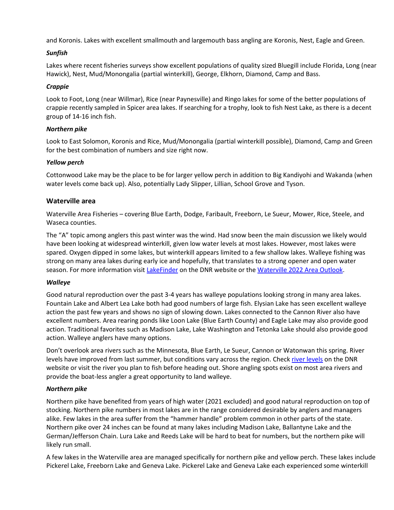and Koronis. Lakes with excellent smallmouth and largemouth bass angling are Koronis, Nest, Eagle and Green.

# *Sunfish*

Lakes where recent fisheries surveys show excellent populations of quality sized Bluegill include Florida, Long (near Hawick), Nest, Mud/Monongalia (partial winterkill), George, Elkhorn, Diamond, Camp and Bass.

# *Crappie*

Look to Foot, Long (near Willmar), Rice (near Paynesville) and Ringo lakes for some of the better populations of crappie recently sampled in Spicer area lakes. If searching for a trophy, look to fish Nest Lake, as there is a decent group of 14-16 inch fish.

# *Northern pike*

Look to East Solomon, Koronis and Rice, Mud/Monongalia (partial winterkill possible), Diamond, Camp and Green for the best combination of numbers and size right now.

# *Yellow perch*

Cottonwood Lake may be the place to be for larger yellow perch in addition to Big Kandiyohi and Wakanda (when water levels come back up). Also, potentially Lady Slipper, Lillian, School Grove and Tyson.

# **Waterville area**

Waterville Area Fisheries – covering Blue Earth, Dodge, Faribault, Freeborn, Le Sueur, Mower, Rice, Steele, and Waseca counties.

The "A" topic among anglers this past winter was the wind. Had snow been the main discussion we likely would have been looking at widespread winterkill, given low water levels at most lakes. However, most lakes were spared. Oxygen dipped in some lakes, but winterkill appears limited to a few shallow lakes. Walleye fishing was strong on many area lakes during early ice and hopefully, that translates to a strong opener and open water season. For more information visit [LakeFinder](http://www.dnr.state.mn.us/lakefind/index.html) on the DNR website or the [Waterville 2022 Area Outlook.](https://files.dnr.state.mn.us/areas/fisheries/waterville/outlook.pdf?20220328-05)

# *Walleye*

Good natural reproduction over the past 3-4 years has walleye populations looking strong in many area lakes. Fountain Lake and Albert Lea Lake both had good numbers of large fish. Elysian Lake has seen excellent walleye action the past few years and shows no sign of slowing down. Lakes connected to the Cannon River also have excellent numbers. Area rearing ponds like Loon Lake (Blue Earth County) and Eagle Lake may also provide good action. Traditional favorites such as Madison Lake, Lake Washington and Tetonka Lake should also provide good action. Walleye anglers have many options.

Don't overlook area rivers such as the Minnesota, Blue Earth, Le Sueur, Cannon or Watonwan this spring. River levels have improved from last summer, but conditions vary across the region. Chec[k river levels](https://www.dnr.state.mn.us/river_levels/index.html) on the DNR website or visit the river you plan to fish before heading out. Shore angling spots exist on most area rivers and provide the boat-less angler a great opportunity to land walleye.

# *Northern pike*

Northern pike have benefited from years of high water (2021 excluded) and good natural reproduction on top of stocking. Northern pike numbers in most lakes are in the range considered desirable by anglers and managers alike. Few lakes in the area suffer from the "hammer handle" problem common in other parts of the state. Northern pike over 24 inches can be found at many lakes including Madison Lake, Ballantyne Lake and the German/Jefferson Chain. Lura Lake and Reeds Lake will be hard to beat for numbers, but the northern pike will likely run small.

A few lakes in the Waterville area are managed specifically for northern pike and yellow perch. These lakes include Pickerel Lake, Freeborn Lake and Geneva Lake. Pickerel Lake and Geneva Lake each experienced some winterkill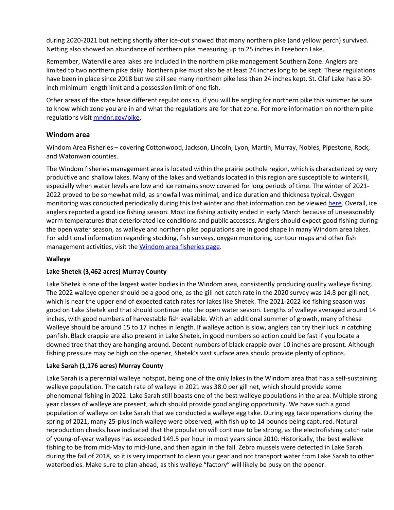during 2020-2021 but netting shortly after ice-out showed that many northern pike (and yellow perch) survived. Netting also showed an abundance of northern pike measuring up to 25 inches in Freeborn Lake.

Remember, Waterville area lakes are included in the northern pike management Southern Zone. Anglers are limited to two northern pike daily. Northern pike must also be at least 24 inches long to be kept. These regulations have been in place since 2018 but we still see many northern pike less than 24 inches kept. St. Olaf Lake has a 30 inch minimum length limit and a possession limit of one fish.

Other areas of the state have different regulations so, if you will be angling for northern pike this summer be sure to know which zone you are in and what the regulations are for that zone. For more information on northern pike regulations visit [mndnr.gov/pike.](https://www.dnr.state.mn.us/pike/index.html)

# **Windom area**

Windom Area Fisheries – covering Cottonwood, Jackson, Lincoln, Lyon, Martin, Murray, Nobles, Pipestone, Rock, and Watonwan counties.

The Windom fisheries management area is located within the prairie pothole region, which is characterized by very productive and shallow lakes. Many of the lakes and wetlands located in this region are susceptible to winterkill, especially when water levels are low and ice remains snow covered for long periods of time. The winter of 2021- 2022 proved to be somewhat mild, as snowfall was minimal, and ice duration and thickness typical. Oxygen monitoring was conducted periodically during this last winter and that information can be viewe[d here.](http://www.dnr.state.mn.us/areas/fisheries/windom/lakes/aeration.html) Overall, ice anglers reported a good ice fishing season. Most ice fishing activity ended in early March because of unseasonably warm temperatures that deteriorated ice conditions and public accesses. Anglers should expect good fishing during the open water season, as walleye and northern pike populations are in good shape in many Windom area lakes. For additional information regarding stocking, fish surveys, oxygen monitoring, contour maps and other fish management activities, visit th[e Windom area fisheries](http://www.dnr.state.mn.us/areas/fisheries/windom/index.html) page.

# **Walleye**

# **Lake Shetek (3,462 acres) Murray County**

Lake Shetek is one of the largest water bodies in the Windom area, consistently producing quality walleye fishing. The 2022 walleye opener should be a good one, as the gill net catch rate in the 2020 survey was 14.8 per gill net, which is near the upper end of expected catch rates for lakes like Shetek. The 2021-2022 ice fishing season was good on Lake Shetek and that should continue into the open water season. Lengths of walleye averaged around 14 inches, with good numbers of harvestable fish available. With an additional summer of growth, many of these Walleye should be around 15 to 17 inches in length. If walleye action is slow, anglers can try their luck in catching panfish. Black crappie are also present in Lake Shetek, in good numbers so action could be fast if you locate a downed tree that they are hanging around. Decent numbers of black crappie over 10 inches are present. Although fishing pressure may be high on the opener, Shetek's vast surface area should provide plenty of options.

# **Lake Sarah (1,176 acres) Murray County**

Lake Sarah is a perennial walleye hotspot, being one of the only lakes in the Windom area that has a self-sustaining walleye population. The catch rate of walleye in 2021 was 38.0 per gill net, which should provide some phenomenal fishing in 2022. Lake Sarah still boasts one of the best walleye populations in the area. Multiple strong year classes of walleye are present, which should provide good angling opportunity. We have such a good population of walleye on Lake Sarah that we conducted a walleye egg take. During egg take operations during the spring of 2021, many 25-plus inch walleye were observed, with fish up to 14 pounds being captured. Natural reproduction checks have indicated that the population will continue to be strong, as the electrofishing catch rate of young-of-year walleyes has exceeded 149.5 per hour in most years since 2010. Historically, the best walleye fishing to be from mid-May to mid-June, and then again in the fall. Zebra mussels were detected in Lake Sarah during the fall of 2018, so it is very important to clean your gear and not transport water from Lake Sarah to other waterbodies. Make sure to plan ahead, as this walleye "factory" will likely be busy on the opener.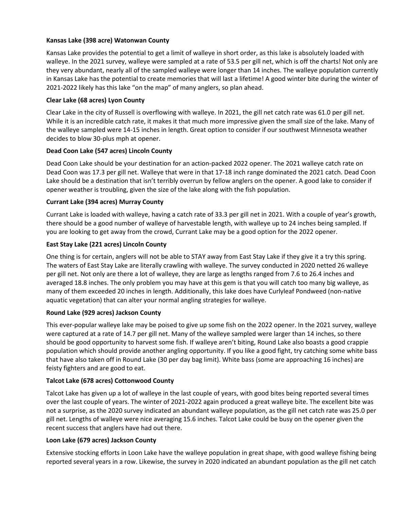# **Kansas Lake (398 acre) Watonwan County**

Kansas Lake provides the potential to get a limit of walleye in short order, as this lake is absolutely loaded with walleye. In the 2021 survey, walleye were sampled at a rate of 53.5 per gill net, which is off the charts! Not only are they very abundant, nearly all of the sampled walleye were longer than 14 inches. The walleye population currently in Kansas Lake has the potential to create memories that will last a lifetime! A good winter bite during the winter of 2021-2022 likely has this lake "on the map" of many anglers, so plan ahead.

# **Clear Lake (68 acres) Lyon County**

Clear Lake in the city of Russell is overflowing with walleye. In 2021, the gill net catch rate was 61.0 per gill net. While it is an incredible catch rate, it makes it that much more impressive given the small size of the lake. Many of the walleye sampled were 14-15 inches in length. Great option to consider if our southwest Minnesota weather decides to blow 30-plus mph at opener.

# **Dead Coon Lake (547 acres) Lincoln County**

Dead Coon Lake should be your destination for an action-packed 2022 opener. The 2021 walleye catch rate on Dead Coon was 17.3 per gill net. Walleye that were in that 17-18 inch range dominated the 2021 catch. Dead Coon Lake should be a destination that isn't terribly overrun by fellow anglers on the opener. A good lake to consider if opener weather is troubling, given the size of the lake along with the fish population.

# **Currant Lake (394 acres) Murray County**

Currant Lake is loaded with walleye, having a catch rate of 33.3 per gill net in 2021. With a couple of year's growth, there should be a good number of walleye of harvestable length, with walleye up to 24 inches being sampled. If you are looking to get away from the crowd, Currant Lake may be a good option for the 2022 opener.

# **East Stay Lake (221 acres) Lincoln County**

One thing is for certain, anglers will not be able to STAY away from East Stay Lake if they give it a try this spring. The waters of East Stay Lake are literally crawling with walleye. The survey conducted in 2020 netted 26 walleye per gill net. Not only are there a lot of walleye, they are large as lengths ranged from 7.6 to 26.4 inches and averaged 18.8 inches. The only problem you may have at this gem is that you will catch too many big walleye, as many of them exceeded 20 inches in length. Additionally, this lake does have Curlyleaf Pondweed (non-native aquatic vegetation) that can alter your normal angling strategies for walleye.

# **Round Lake (929 acres) Jackson County**

This ever-popular walleye lake may be poised to give up some fish on the 2022 opener. In the 2021 survey, walleye were captured at a rate of 14.7 per gill net. Many of the walleye sampled were larger than 14 inches, so there should be good opportunity to harvest some fish. If walleye aren't biting, Round Lake also boasts a good crappie population which should provide another angling opportunity. If you like a good fight, try catching some white bass that have also taken off in Round Lake (30 per day bag limit). White bass (some are approaching 16 inches) are feisty fighters and are good to eat.

# **Talcot Lake (678 acres) Cottonwood County**

Talcot Lake has given up a lot of walleye in the last couple of years, with good bites being reported several times over the last couple of years. The winter of 2021-2022 again produced a great walleye bite. The excellent bite was not a surprise, as the 2020 survey indicated an abundant walleye population, as the gill net catch rate was 25.0 per gill net. Lengths of walleye were nice averaging 15.6 inches. Talcot Lake could be busy on the opener given the recent success that anglers have had out there.

# **Loon Lake (679 acres) Jackson County**

Extensive stocking efforts in Loon Lake have the walleye population in great shape, with good walleye fishing being reported several years in a row. Likewise, the survey in 2020 indicated an abundant population as the gill net catch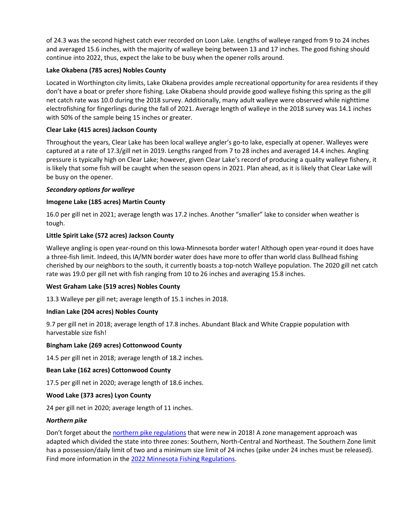of 24.3 was the second highest catch ever recorded on Loon Lake. Lengths of walleye ranged from 9 to 24 inches and averaged 15.6 inches, with the majority of walleye being between 13 and 17 inches. The good fishing should continue into 2022, thus, expect the lake to be busy when the opener rolls around.

# **Lake Okabena (785 acres) Nobles County**

Located in Worthington city limits, Lake Okabena provides ample recreational opportunity for area residents if they don't have a boat or prefer shore fishing. Lake Okabena should provide good walleye fishing this spring as the gill net catch rate was 10.0 during the 2018 survey. Additionally, many adult walleye were observed while nighttime electrofishing for fingerlings during the fall of 2021. Average length of walleye in the 2018 survey was 14.1 inches with 50% of the sample being 15 inches or greater.

# **Clear Lake (415 acres) Jackson County**

Throughout the years, Clear Lake has been local walleye angler's go-to lake, especially at opener. Walleyes were captured at a rate of 17.3/gill net in 2019. Lengths ranged from 7 to 28 inches and averaged 14.4 inches. Angling pressure is typically high on Clear Lake; however, given Clear Lake's record of producing a quality walleye fishery, it is likely that some fish will be caught when the season opens in 2021. Plan ahead, as it is likely that Clear Lake will be busy on the opener.

# *Secondary options for walleye*

# **Imogene Lake (185 acres) Martin County**

16.0 per gill net in 2021; average length was 17.2 inches. Another "smaller" lake to consider when weather is tough.

# **Little Spirit Lake (572 acres) Jackson County**

Walleye angling is open year-round on this Iowa-Minnesota border water! Although open year-round it does have a three-fish limit. Indeed, this IA/MN border water does have more to offer than world class Bullhead fishing cherished by our neighbors to the south, it currently boasts a top-notch Walleye population. The 2020 gill net catch rate was 19.0 per gill net with fish ranging from 10 to 26 inches and averaging 15.8 inches.

# **West Graham Lake (519 acres) Nobles County**

13.3 Walleye per gill net; average length of 15.1 inches in 2018.

# **Indian Lake (204 acres) Nobles County**

9.7 per gill net in 2018; average length of 17.8 inches. Abundant Black and White Crappie population with harvestable size fish!

# **Bingham Lake (269 acres) Cottonwood County**

14.5 per gill net in 2018; average length of 18.2 inches.

# **Bean Lake (162 acres) Cottonwood County**

17.5 per gill net in 2020; average length of 18.6 inches.

# **Wood Lake (373 acres) Lyon County**

24 per gill net in 2020; average length of 11 inches.

# *Northern pike*

Don't forget about the [northern pike regulations](https://www.dnr.state.mn.us/pike/index.html) that were new in 2018! A zone management approach was adapted which divided the state into three zones: Southern, North-Central and Northeast. The Southern Zone limit has a possession/daily limit of two and a minimum size limit of 24 inches (pike under 24 inches must be released). Find more information in the [2022 Minnesota Fishing Regulations.](https://files.dnr.state.mn.us/rlp/regulations/fishing/fishing_regs.pdf#page=23&view=fit&view=fit&pagemode=bookmarks)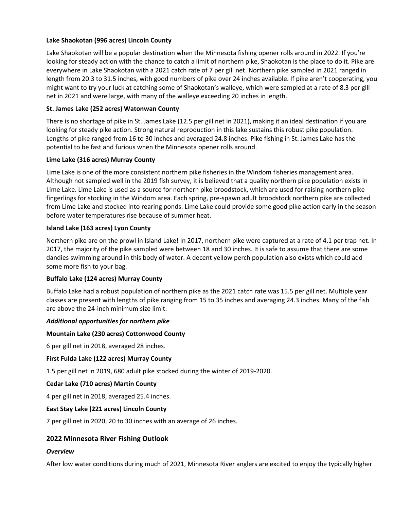# **Lake Shaokotan (996 acres) Lincoln County**

Lake Shaokotan will be a popular destination when the Minnesota fishing opener rolls around in 2022. If you're looking for steady action with the chance to catch a limit of northern pike, Shaokotan is the place to do it. Pike are everywhere in Lake Shaokotan with a 2021 catch rate of 7 per gill net. Northern pike sampled in 2021 ranged in length from 20.3 to 31.5 inches, with good numbers of pike over 24 inches available. If pike aren't cooperating, you might want to try your luck at catching some of Shaokotan's walleye, which were sampled at a rate of 8.3 per gill net in 2021 and were large, with many of the walleye exceeding 20 inches in length.

# **St. James Lake (252 acres) Watonwan County**

There is no shortage of pike in St. James Lake (12.5 per gill net in 2021), making it an ideal destination if you are looking for steady pike action. Strong natural reproduction in this lake sustains this robust pike population. Lengths of pike ranged from 16 to 30 inches and averaged 24.8 inches. Pike fishing in St. James Lake has the potential to be fast and furious when the Minnesota opener rolls around.

# **Lime Lake (316 acres) Murray County**

Lime Lake is one of the more consistent northern pike fisheries in the Windom fisheries management area. Although not sampled well in the 2019 fish survey, it is believed that a quality northern pike population exists in Lime Lake. Lime Lake is used as a source for northern pike broodstock, which are used for raising northern pike fingerlings for stocking in the Windom area. Each spring, pre-spawn adult broodstock northern pike are collected from Lime Lake and stocked into rearing ponds. Lime Lake could provide some good pike action early in the season before water temperatures rise because of summer heat.

# **Island Lake (163 acres) Lyon County**

Northern pike are on the prowl in Island Lake! In 2017, northern pike were captured at a rate of 4.1 per trap net. In 2017, the majority of the pike sampled were between 18 and 30 inches. It is safe to assume that there are some dandies swimming around in this body of water. A decent yellow perch population also exists which could add some more fish to your bag.

# **Buffalo Lake (124 acres) Murray County**

Buffalo Lake had a robust population of northern pike as the 2021 catch rate was 15.5 per gill net. Multiple year classes are present with lengths of pike ranging from 15 to 35 inches and averaging 24.3 inches. Many of the fish are above the 24-inch minimum size limit.

# *Additional opportunities for northern pike*

# **Mountain Lake (230 acres) Cottonwood County**

6 per gill net in 2018, averaged 28 inches.

# **First Fulda Lake (122 acres) Murray County**

1.5 per gill net in 2019, 680 adult pike stocked during the winter of 2019-2020.

# **Cedar Lake (710 acres) Martin County**

4 per gill net in 2018, averaged 25.4 inches.

# **East Stay Lake (221 acres) Lincoln County**

7 per gill net in 2020, 20 to 30 inches with an average of 26 inches.

# **2022 Minnesota River Fishing Outlook**

# *Overview*

After low water conditions during much of 2021, Minnesota River anglers are excited to enjoy the typically higher